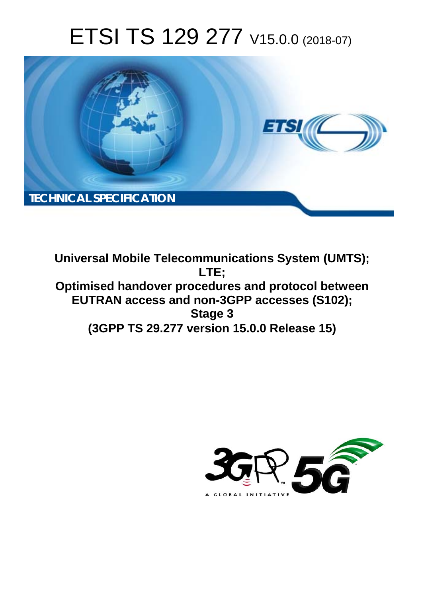# ETSI TS 129 277 V15.0.0 (2018-07)



**Universal Mobile Telecommunications System (UMTS); LTE; Optimised handover procedures and protocol between EUTRAN access and non-3GPP accesses (S102); Stage 3 (3GPP TS 29.277 version 15.0.0 Release 15)** 

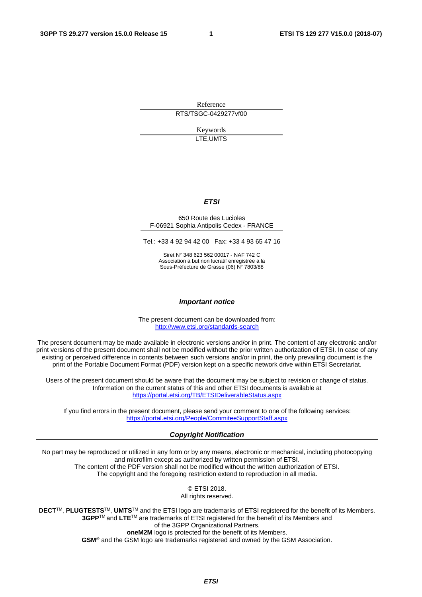Reference RTS/TSGC-0429277vf00

> Keywords LTE,UMTS

#### *ETSI*

#### 650 Route des Lucioles F-06921 Sophia Antipolis Cedex - FRANCE

Tel.: +33 4 92 94 42 00 Fax: +33 4 93 65 47 16

Siret N° 348 623 562 00017 - NAF 742 C Association à but non lucratif enregistrée à la Sous-Préfecture de Grasse (06) N° 7803/88

#### *Important notice*

The present document can be downloaded from: <http://www.etsi.org/standards-search>

The present document may be made available in electronic versions and/or in print. The content of any electronic and/or print versions of the present document shall not be modified without the prior written authorization of ETSI. In case of any existing or perceived difference in contents between such versions and/or in print, the only prevailing document is the print of the Portable Document Format (PDF) version kept on a specific network drive within ETSI Secretariat.

Users of the present document should be aware that the document may be subject to revision or change of status. Information on the current status of this and other ETSI documents is available at <https://portal.etsi.org/TB/ETSIDeliverableStatus.aspx>

If you find errors in the present document, please send your comment to one of the following services: <https://portal.etsi.org/People/CommiteeSupportStaff.aspx>

#### *Copyright Notification*

No part may be reproduced or utilized in any form or by any means, electronic or mechanical, including photocopying and microfilm except as authorized by written permission of ETSI. The content of the PDF version shall not be modified without the written authorization of ETSI. The copyright and the foregoing restriction extend to reproduction in all media.

> © ETSI 2018. All rights reserved.

**DECT**TM, **PLUGTESTS**TM, **UMTS**TM and the ETSI logo are trademarks of ETSI registered for the benefit of its Members. **3GPP**TM and **LTE**TM are trademarks of ETSI registered for the benefit of its Members and of the 3GPP Organizational Partners. **oneM2M** logo is protected for the benefit of its Members.

**GSM**® and the GSM logo are trademarks registered and owned by the GSM Association.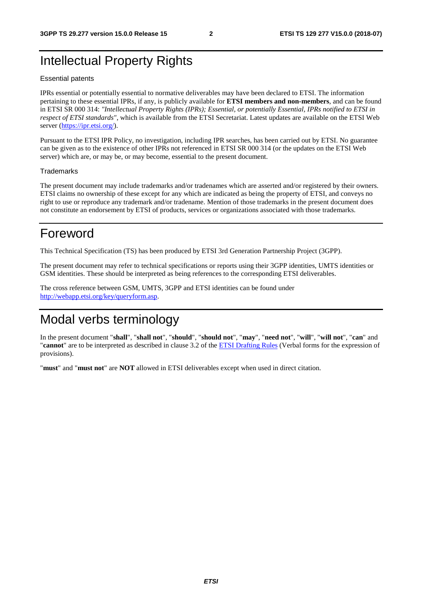# Intellectual Property Rights

#### Essential patents

IPRs essential or potentially essential to normative deliverables may have been declared to ETSI. The information pertaining to these essential IPRs, if any, is publicly available for **ETSI members and non-members**, and can be found in ETSI SR 000 314: *"Intellectual Property Rights (IPRs); Essential, or potentially Essential, IPRs notified to ETSI in respect of ETSI standards"*, which is available from the ETSI Secretariat. Latest updates are available on the ETSI Web server ([https://ipr.etsi.org/\)](https://ipr.etsi.org/).

Pursuant to the ETSI IPR Policy, no investigation, including IPR searches, has been carried out by ETSI. No guarantee can be given as to the existence of other IPRs not referenced in ETSI SR 000 314 (or the updates on the ETSI Web server) which are, or may be, or may become, essential to the present document.

#### **Trademarks**

The present document may include trademarks and/or tradenames which are asserted and/or registered by their owners. ETSI claims no ownership of these except for any which are indicated as being the property of ETSI, and conveys no right to use or reproduce any trademark and/or tradename. Mention of those trademarks in the present document does not constitute an endorsement by ETSI of products, services or organizations associated with those trademarks.

# Foreword

This Technical Specification (TS) has been produced by ETSI 3rd Generation Partnership Project (3GPP).

The present document may refer to technical specifications or reports using their 3GPP identities, UMTS identities or GSM identities. These should be interpreted as being references to the corresponding ETSI deliverables.

The cross reference between GSM, UMTS, 3GPP and ETSI identities can be found under [http://webapp.etsi.org/key/queryform.asp.](http://webapp.etsi.org/key/queryform.asp)

# Modal verbs terminology

In the present document "**shall**", "**shall not**", "**should**", "**should not**", "**may**", "**need not**", "**will**", "**will not**", "**can**" and "**cannot**" are to be interpreted as described in clause 3.2 of the [ETSI Drafting Rules](https://portal.etsi.org/Services/editHelp!/Howtostart/ETSIDraftingRules.aspx) (Verbal forms for the expression of provisions).

"**must**" and "**must not**" are **NOT** allowed in ETSI deliverables except when used in direct citation.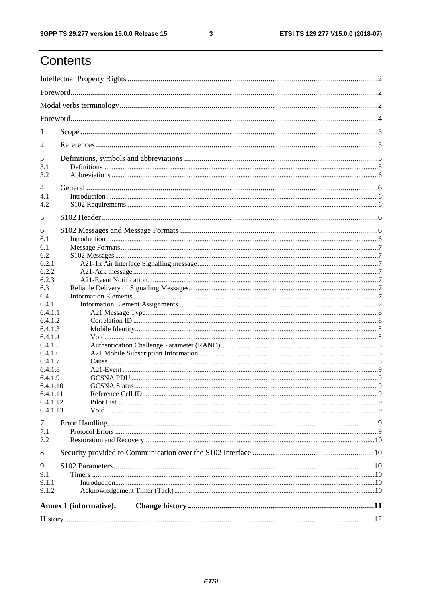# Contents

| $\mathbf{I}$       |                        |  |  |  |  |  |
|--------------------|------------------------|--|--|--|--|--|
| 2                  |                        |  |  |  |  |  |
| 3                  |                        |  |  |  |  |  |
| 3.1                |                        |  |  |  |  |  |
| 3.2                |                        |  |  |  |  |  |
| 4                  |                        |  |  |  |  |  |
| 4.1                |                        |  |  |  |  |  |
| 4.2                |                        |  |  |  |  |  |
| 5                  |                        |  |  |  |  |  |
|                    |                        |  |  |  |  |  |
| 6<br>6.1           |                        |  |  |  |  |  |
| 6.1                |                        |  |  |  |  |  |
| 6.2                |                        |  |  |  |  |  |
| 6.2.1              |                        |  |  |  |  |  |
| 6.2.2              |                        |  |  |  |  |  |
| 6.2.3              |                        |  |  |  |  |  |
| 6.3                |                        |  |  |  |  |  |
| 6.4                |                        |  |  |  |  |  |
| 6.4.1              |                        |  |  |  |  |  |
| 6.4.1.1            |                        |  |  |  |  |  |
| 6.4.1.2            |                        |  |  |  |  |  |
| 6.4.1.3            |                        |  |  |  |  |  |
| 6.4.1.4<br>6.4.1.5 |                        |  |  |  |  |  |
| 6.4.1.6            |                        |  |  |  |  |  |
| 6.4.1.7            |                        |  |  |  |  |  |
| 6.4.1.8            |                        |  |  |  |  |  |
| 6.4.1.9            |                        |  |  |  |  |  |
| 6.4.1.10           |                        |  |  |  |  |  |
| 6.4.1.11           |                        |  |  |  |  |  |
| 6.4.1.12           |                        |  |  |  |  |  |
| 6.4.1.13           |                        |  |  |  |  |  |
| $\tau$             |                        |  |  |  |  |  |
| 7.1                |                        |  |  |  |  |  |
| 7.2                |                        |  |  |  |  |  |
| 8                  |                        |  |  |  |  |  |
| 9                  |                        |  |  |  |  |  |
| 9.1                |                        |  |  |  |  |  |
| 9.1.1              |                        |  |  |  |  |  |
| 9.1.2              |                        |  |  |  |  |  |
|                    | Annex 1 (informative): |  |  |  |  |  |
|                    |                        |  |  |  |  |  |
|                    |                        |  |  |  |  |  |

 $\mathbf{3}$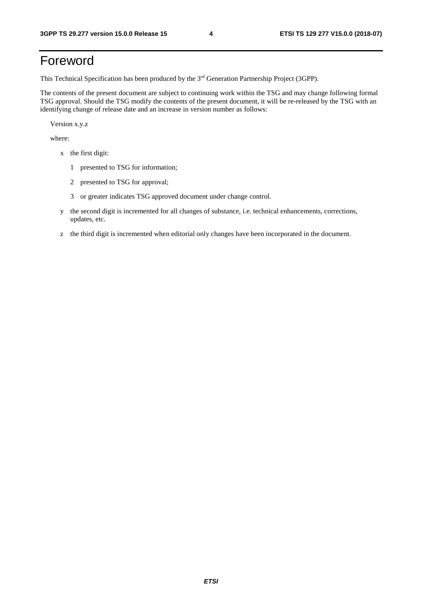# Foreword

This Technical Specification has been produced by the 3rd Generation Partnership Project (3GPP).

The contents of the present document are subject to continuing work within the TSG and may change following formal TSG approval. Should the TSG modify the contents of the present document, it will be re-released by the TSG with an identifying change of release date and an increase in version number as follows:

Version x.y.z

where:

- x the first digit:
	- 1 presented to TSG for information;
	- 2 presented to TSG for approval;
	- 3 or greater indicates TSG approved document under change control.
- y the second digit is incremented for all changes of substance, i.e. technical enhancements, corrections, updates, etc.
- z the third digit is incremented when editorial only changes have been incorporated in the document.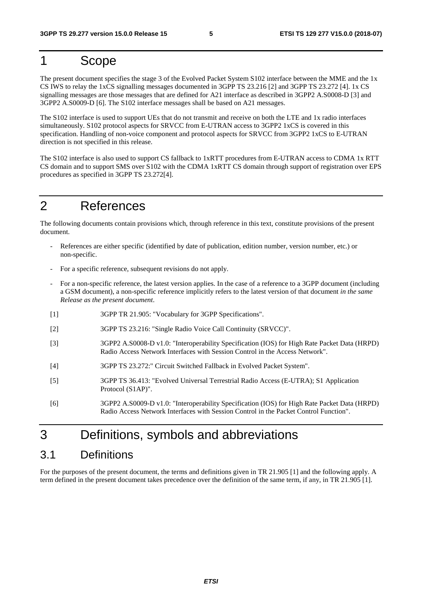# 1 Scope

The present document specifies the stage 3 of the Evolved Packet System S102 interface between the MME and the 1x CS IWS to relay the 1xCS signalling messages documented in 3GPP TS 23.216 [2] and 3GPP TS 23.272 [4]. 1x CS signalling messages are those messages that are defined for A21 interface as described in 3GPP2 A.S0008-D [3] and 3GPP2 A.S0009-D [6]. The S102 interface messages shall be based on A21 messages.

The S102 interface is used to support UEs that do not transmit and receive on both the LTE and 1x radio interfaces simultaneously. S102 protocol aspects for SRVCC from E-UTRAN access to 3GPP2 1xCS is covered in this specification. Handling of non-voice component and protocol aspects for SRVCC from 3GPP2 1xCS to E-UTRAN direction is not specified in this release.

The S102 interface is also used to support CS fallback to 1xRTT procedures from E-UTRAN access to CDMA 1x RTT CS domain and to support SMS over S102 with the CDMA 1xRTT CS domain through support of registration over EPS procedures as specified in 3GPP TS 23.272[4].

# 2 References

The following documents contain provisions which, through reference in this text, constitute provisions of the present document.

- References are either specific (identified by date of publication, edition number, version number, etc.) or non-specific.
- For a specific reference, subsequent revisions do not apply.
- For a non-specific reference, the latest version applies. In the case of a reference to a 3GPP document (including a GSM document), a non-specific reference implicitly refers to the latest version of that document *in the same Release as the present document*.
- [1] 3GPP TR 21.905: "Vocabulary for 3GPP Specifications".
- [2] 3GPP TS 23.216: "Single Radio Voice Call Continuity (SRVCC)".
- [3] 3GPP2 A.S0008-D v1.0: "Interoperability Specification (IOS) for High Rate Packet Data (HRPD) Radio Access Network Interfaces with Session Control in the Access Network".
- [4] 3GPP TS 23.272:" Circuit Switched Fallback in Evolved Packet System".
- [5] 3GPP TS 36.413: "Evolved Universal Terrestrial Radio Access (E-UTRA); S1 Application Protocol (S1AP)".
- [6] 3GPP2 A.S0009-D v1.0: "Interoperability Specification (IOS) for High Rate Packet Data (HRPD) Radio Access Network Interfaces with Session Control in the Packet Control Function".

# 3 Definitions, symbols and abbreviations

### 3.1 Definitions

For the purposes of the present document, the terms and definitions given in TR 21.905 [1] and the following apply. A term defined in the present document takes precedence over the definition of the same term, if any, in TR 21.905 [1].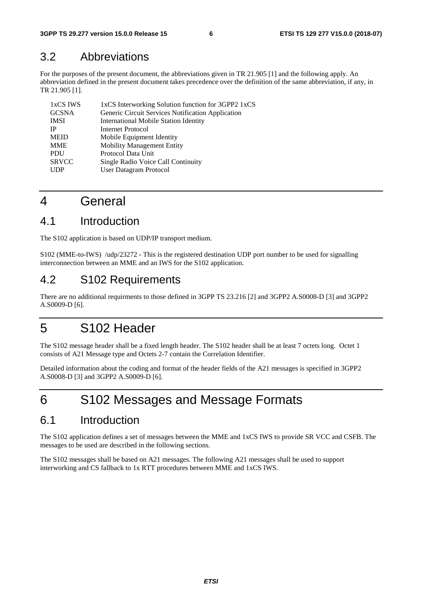# 3.2 Abbreviations

For the purposes of the present document, the abbreviations given in TR 21.905 [1] and the following apply. An abbreviation defined in the present document takes precedence over the definition of the same abbreviation, if any, in TR 21.905 [1].

| 1xCS IWS     | 1xCS Interworking Solution function for 3GPP2 1xCS |
|--------------|----------------------------------------------------|
| <b>GCSNA</b> | Generic Circuit Services Notification Application  |
| <b>IMSI</b>  | <b>International Mobile Station Identity</b>       |
| <b>IP</b>    | <b>Internet Protocol</b>                           |
| <b>MEID</b>  | Mobile Equipment Identity                          |
| <b>MME</b>   | <b>Mobility Management Entity</b>                  |
| <b>PDU</b>   | Protocol Data Unit                                 |
| <b>SRVCC</b> | Single Radio Voice Call Continuity                 |
| <b>UDP</b>   | User Datagram Protocol                             |
|              |                                                    |

# 4 General

# 4.1 Introduction

The S102 application is based on UDP/IP transport medium.

S102 (MME-to-IWS) /udp/23272 - This is the registered destination UDP port number to be used for signalling interconnection between an MME and an IWS for the S102 application.

# 4.2 S102 Requirements

There are no additional requirments to those defined in 3GPP TS 23.216 [2] and 3GPP2 A.S0008-D [3] and 3GPP2 A.S0009-D [6].

# 5 S102 Header

The S102 message header shall be a fixed length header. The S102 header shall be at least 7 octets long. Octet 1 consists of A21 Message type and Octets 2-7 contain the Correlation Identifier.

Detailed information about the coding and format of the header fields of the A21 messages is specified in 3GPP2 A.S0008-D [3] and 3GPP2 A.S0009-D [6].

# 6 S102 Messages and Message Formats

### 6.1 Introduction

The S102 application defines a set of messages between the MME and 1xCS IWS to provide SR VCC and CSFB. The messages to be used are described in the following sections.

The S102 messages shall be based on A21 messages. The following A21 messages shall be used to support interworking and CS fallback to 1x RTT procedures between MME and 1xCS IWS.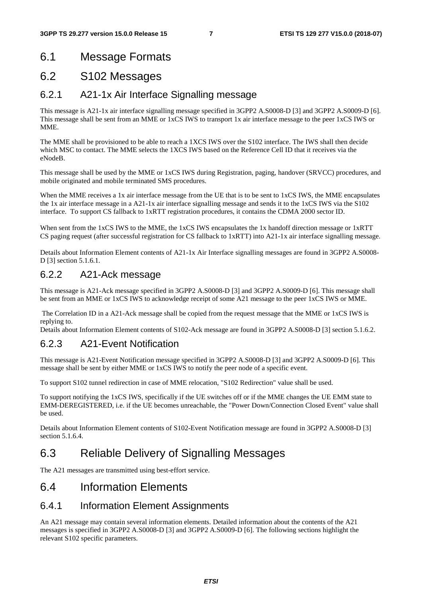# 6.1 Message Formats

### 6.2 S102 Messages

### 6.2.1 A21-1x Air Interface Signalling message

This message is A21-1x air interface signalling message specified in 3GPP2 A.S0008-D [3] and 3GPP2 A.S0009-D [6]. This message shall be sent from an MME or 1xCS IWS to transport 1x air interface message to the peer 1xCS IWS or MME.

The MME shall be provisioned to be able to reach a 1XCS IWS over the S102 interface. The IWS shall then decide which MSC to contact. The MME selects the 1XCS IWS based on the Reference Cell ID that it receives via the eNodeB.

This message shall be used by the MME or 1xCS IWS during Registration, paging, handover (SRVCC) procedures, and mobile originated and mobile terminated SMS procedures.

When the MME receives a 1x air interface message from the UE that is to be sent to 1xCS IWS, the MME encapsulates the 1x air interface message in a A21-1x air interface signalling message and sends it to the 1xCS IWS via the S102 interface. To support CS fallback to 1xRTT registration procedures, it contains the CDMA 2000 sector ID.

When sent from the 1xCS IWS to the MME, the 1xCS IWS encapsulates the 1x handoff direction message or 1xRTT CS paging request (after successful registration for CS fallback to 1xRTT) into A21-1x air interface signalling message.

Details about Information Element contents of A21-1x Air Interface signalling messages are found in 3GPP2 A.S0008- D [3] section 5.1.6.1.

### 6.2.2 A21-Ack message

This message is A21-Ack message specified in 3GPP2 A.S0008-D [3] and 3GPP2 A.S0009-D [6]. This message shall be sent from an MME or 1xCS IWS to acknowledge receipt of some A21 message to the peer 1xCS IWS or MME.

 The Correlation ID in a A21-Ack message shall be copied from the request message that the MME or 1xCS IWS is replying to.

Details about Information Element contents of S102-Ack message are found in 3GPP2 A.S0008-D [3] section 5.1.6.2.

### 6.2.3 A21-Event Notification

This message is A21-Event Notification message specified in 3GPP2 A.S0008-D [3] and 3GPP2 A.S0009-D [6]. This message shall be sent by either MME or 1xCS IWS to notify the peer node of a specific event.

To support S102 tunnel redirection in case of MME relocation, "S102 Redirection" value shall be used.

To support notifying the 1xCS IWS, specifically if the UE switches off or if the MME changes the UE EMM state to EMM-DEREGISTERED, i.e. if the UE becomes unreachable, the "Power Down/Connection Closed Event" value shall be used.

Details about Information Element contents of S102-Event Notification message are found in 3GPP2 A.S0008-D [3] section 5.1.6.4.

# 6.3 Reliable Delivery of Signalling Messages

The A21 messages are transmitted using best-effort service.

### 6.4 Information Elements

#### 6.4.1 Information Element Assignments

An A21 message may contain several information elements. Detailed information about the contents of the A21 messages is specified in 3GPP2 A.S0008-D [3] and 3GPP2 A.S0009-D [6]. The following sections highlight the relevant S102 specific parameters.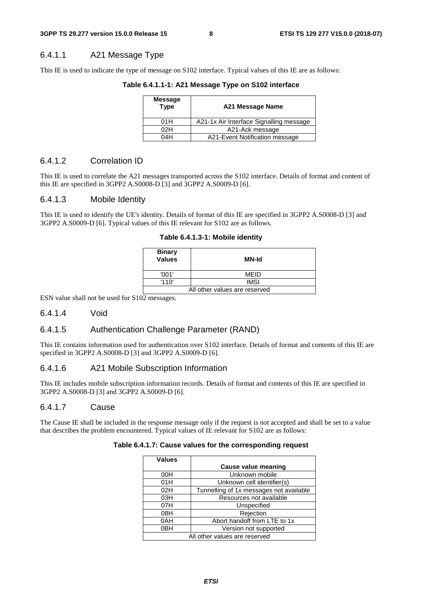#### 6.4.1.1 A21 Message Type

This IE is used to indicate the type of message on S102 interface. Typical values of this IE are as follows:

**Table 6.4.1.1-1: A21 Message Type on S102 interface** 

| Message<br><b>Type</b> | A21 Message Name                        |  |  |
|------------------------|-----------------------------------------|--|--|
| 01H                    | A21-1x Air Interface Signalling message |  |  |
| 02H                    | A21-Ack message                         |  |  |
| 04H                    | A21-Event Notification message          |  |  |

#### 6.4.1.2 Correlation ID

This IE is used to correlate the A21 messages transported across the S102 interface. Details of format and content of this IE are specified in 3GPP2 A.S0008-D [3] and 3GPP2 A.S0009-D [6].

#### 6.4.1.3 Mobile Identity

This IE is used to identify the UE's identity. Details of format of this IE are specified in 3GPP2 A.S0008-D [3] and 3GPP2 A.S0009-D [6]. Typical values of this IE relevant for S102 are as follows.

**Table 6.4.1.3-1: Mobile identity** 

| <b>Binary</b><br>Values       | MN-Id       |  |  |
|-------------------------------|-------------|--|--|
| '001'                         | MEID        |  |  |
| '110'                         | <b>IMSI</b> |  |  |
| All other values are reserved |             |  |  |

ESN value shall not be used for S102 messages.

#### 6.4.1.4 Void

#### 6.4.1.5 Authentication Challenge Parameter (RAND)

This IE contains information used for authentication over S102 interface. Details of format and contents of this IE are specified in 3GPP2 A.S0008-D [3] and 3GPP2 A.S0009-D [6].

#### 6.4.1.6 A21 Mobile Subscription Information

This IE includes mobile subscription information records. Details of format and contents of this IE are specified in 3GPP2 A.S0008-D [3] and 3GPP2 A.S0009-D [6].

#### 6.4.1.7 Cause

The Cause IE shall be included in the response message only if the request is not accepted and shall be set to a value that describes the problem encountered. Typical values of IE relevant for S102 are as follows:

| <b>Values</b>                 |                                         |  |
|-------------------------------|-----------------------------------------|--|
|                               | Cause value meaning                     |  |
| 00H                           | Unknown mobile                          |  |
| 01H                           | Unknown cell identifier(s)              |  |
| 02H                           | Tunnelling of 1x messages not available |  |
| 03H                           | Resources not available                 |  |
| 07H                           | Unspecified                             |  |
| 08H                           | Rejection                               |  |
| 0AH                           | Abort handoff from LTE to 1x            |  |
| 0BH                           | Version not supported                   |  |
| All other values are reserved |                                         |  |

#### **Table 6.4.1.7: Cause values for the corresponding request**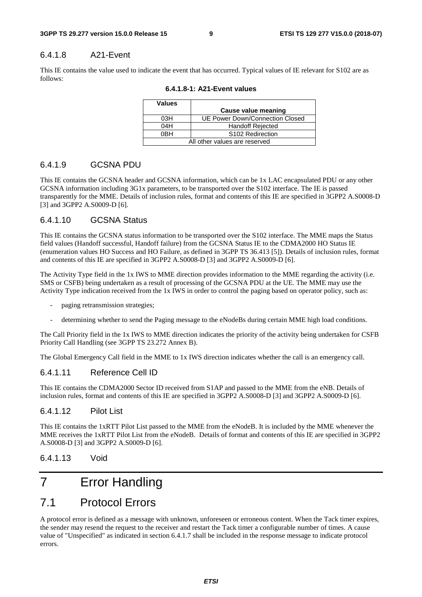#### 6.4.1.8 A21-Event

This IE contains the value used to indicate the event that has occurred. Typical values of IE relevant for S102 are as follows:

| <b>Values</b>                 |                                 |  |  |
|-------------------------------|---------------------------------|--|--|
|                               | Cause value meaning             |  |  |
| 03H                           | UE Power Down/Connection Closed |  |  |
| 04H                           | <b>Handoff Rejected</b>         |  |  |
| 0BH                           | S <sub>102</sub> Redirection    |  |  |
| All other values are reserved |                                 |  |  |

**6.4.1.8-1: A21-Event values** 

#### 6.4.1.9 GCSNA PDU

This IE contains the GCSNA header and GCSNA information, which can be 1x LAC encapsulated PDU or any other GCSNA information including 3G1x parameters, to be transported over the S102 interface. The IE is passed transparently for the MME. Details of inclusion rules, format and contents of this IE are specified in 3GPP2 A.S0008-D [3] and 3GPP2 A.S0009-D [6].

#### 6.4.1.10 GCSNA Status

This IE contains the GCSNA status information to be transported over the S102 interface. The MME maps the Status field values (Handoff successful, Handoff failure) from the GCSNA Status IE to the CDMA2000 HO Status IE (enumeration values HO Success and HO Failure, as defined in 3GPP TS 36.413 [5]). Details of inclusion rules, format and contents of this IE are specified in 3GPP2 A.S0008-D [3] and 3GPP2 A.S0009-D [6].

The Activity Type field in the 1x IWS to MME direction provides information to the MME regarding the activity (i.e. SMS or CSFB) being undertaken as a result of processing of the GCSNA PDU at the UE. The MME may use the Activity Type indication received from the 1x IWS in order to control the paging based on operator policy, such as:

- paging retransmission strategies;
- determining whether to send the Paging message to the eNodeBs during certain MME high load conditions.

The Call Priority field in the 1x IWS to MME direction indicates the priority of the activity being undertaken for CSFB Priority Call Handling (see 3GPP TS 23.272 Annex B).

The Global Emergency Call field in the MME to 1x IWS direction indicates whether the call is an emergency call.

#### 6.4.1.11 Reference Cell ID

This IE contains the CDMA2000 Sector ID received from S1AP and passed to the MME from the eNB. Details of inclusion rules, format and contents of this IE are specified in 3GPP2 A.S0008-D [3] and 3GPP2 A.S0009-D [6].

#### 6.4.1.12 Pilot List

This IE contains the 1xRTT Pilot List passed to the MME from the eNodeB. It is included by the MME whenever the MME receives the 1xRTT Pilot List from the eNodeB. Details of format and contents of this IE are specified in 3GPP2 A.S0008-D [3] and 3GPP2 A.S0009-D [6].

#### 6.4.1.13 Void

# 7 Error Handling

# 7.1 Protocol Errors

A protocol error is defined as a message with unknown, unforeseen or erroneous content. When the Tack timer expires, the sender may resend the request to the receiver and restart the Tack timer a configurable number of times. A cause value of "Unspecified" as indicated in section 6.4.1.7 shall be included in the response message to indicate protocol errors.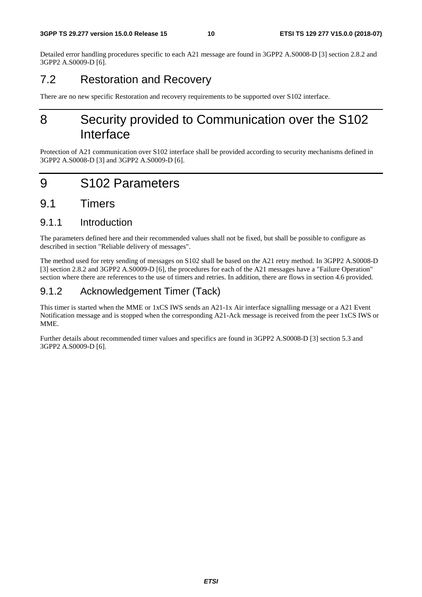Detailed error handling procedures specific to each A21 message are found in 3GPP2 A.S0008-D [3] section 2.8.2 and 3GPP2 A.S0009-D [6].

# 7.2 Restoration and Recovery

There are no new specific Restoration and recovery requirements to be supported over S102 interface.

# 8 Security provided to Communication over the S102 Interface

Protection of A21 communication over S102 interface shall be provided according to security mechanisms defined in 3GPP2 A.S0008-D [3] and 3GPP2 A.S0009-D [6].

# 9 S102 Parameters

### 9.1 Timers

### 9.1.1 Introduction

The parameters defined here and their recommended values shall not be fixed, but shall be possible to configure as described in section "Reliable delivery of messages".

The method used for retry sending of messages on S102 shall be based on the A21 retry method. In 3GPP2 A.S0008-D [3] section 2.8.2 and 3GPP2 A.S0009-D [6], the procedures for each of the A21 messages have a "Failure Operation" section where there are references to the use of timers and retries. In addition, there are flows in section 4.6 provided.

### 9.1.2 Acknowledgement Timer (Tack)

This timer is started when the MME or 1xCS IWS sends an A21-1x Air interface signalling message or a A21 Event Notification message and is stopped when the corresponding A21-Ack message is received from the peer 1xCS IWS or MME.

Further details about recommended timer values and specifics are found in 3GPP2 A.S0008-D [3] section 5.3 and 3GPP2 A.S0009-D [6].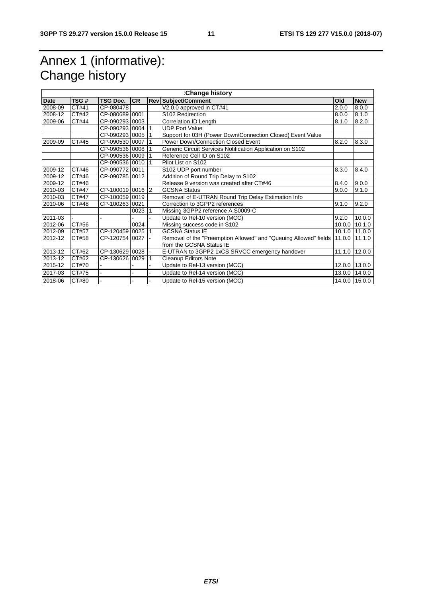# Annex 1 (informative): Change history

| :Change history |       |                  |            |                 |                                                                  |        |                |
|-----------------|-------|------------------|------------|-----------------|------------------------------------------------------------------|--------|----------------|
| Date            | TSG#  | <b>TSG Doc.</b>  | <b>CR</b>  |                 | <b>Rev Subject/Comment</b>                                       | Old    | <b>New</b>     |
| 2008-09         | CT#41 | CP-080478        |            |                 | V2.0.0 approved in CT#41                                         | 2.0.0  | 8.0.0          |
| 2008-12         | CT#42 | CP-080689 0001   |            |                 | S102 Redirection                                                 | 8.0.0  | 8.1.0          |
| 2009-06         | CT#44 | CP-090293 0003   |            |                 | Correlation ID Length                                            | 8.1.0  | 8.2.0          |
|                 |       | CP-090293 0004 1 |            |                 | <b>UDP Port Value</b>                                            |        |                |
|                 |       | CP-090293 0005 1 |            |                 | Support for 03H (Power Down/Connection Closed) Event Value       |        |                |
| 2009-09         | CT#45 | CP-090530 0007   |            |                 | Power Down/Connection Closed Event                               | 8.2.0  | 8.3.0          |
|                 |       | CP-090536 0008 1 |            |                 | Generic Circuit Services Notification Application on S102        |        |                |
|                 |       | CP-090536 0009   |            |                 | Reference Cell ID on S102                                        |        |                |
|                 |       | CP-090536 0010   |            |                 | Pilot List on S102                                               |        |                |
| 2009-12         | CT#46 | CP-090772 0011   |            |                 | S102 UDP port number                                             | 8.3.0  | 8.4.0          |
| 2009-12         | CT#46 | CP-090785 0012   |            |                 | Addition of Round Trip Delay to S102                             |        |                |
| 2009-12         | CT#46 |                  |            |                 | Release 9 version was created after CT#46                        | 8.4.0  | 9.0.0          |
| 2010-03         | CT#47 | CP-100019 0016 2 |            |                 | <b>GCSNA Status</b>                                              | 9.0.0  | 9.1.0          |
| 2010-03         | CT#47 | CP-100059 0019   |            |                 | Removal of E-UTRAN Round Trip Delay Estimation Info              |        |                |
| 2010-06         | CT#48 | CP-100263 0021   |            |                 | Correction to 3GPP2 references                                   | 9.1.0  | 9.2.0          |
|                 |       |                  | $0023$   1 |                 | Missing 3GPP2 reference A.S0009-C                                |        |                |
| 2011-03         |       |                  |            |                 | Update to Rel-10 version (MCC)                                   | 9.2.0  | 10.0.0         |
| 2012-06         | CT#56 |                  | 0024       |                 | Missing success code in S102                                     | 10.0.0 | 10.1.0         |
| 2012-09         | CT#57 | CP-120459 0025 1 |            |                 | <b>GCSNA Status IE</b>                                           |        | 10.1.0 111.0.0 |
| 2012-12         | CT#58 | CP-120754 0027 - |            |                 | Removal of the "Preemption Allowed" and "Queuing Allowed" fields | 11.0.0 | 11.1.0         |
|                 |       |                  |            |                 | from the GCSNA Status IE                                         |        |                |
| 2013-12         | CT#62 | CP-130629 0028 - |            |                 | E-UTRAN to 3GPP2 1xCS SRVCC emergency handover                   | 11.1.0 | 12.0.0         |
| 2013-12         | CT#62 | CP-130626 0029   |            | $\overline{11}$ | <b>Cleanup Editors Note</b>                                      |        |                |
| 2015-12         | CT#70 |                  |            | $\overline{a}$  | Update to Rel-13 version (MCC)                                   |        | 12.0.0 13.0.0  |
| 2017-03         | CT#75 |                  |            | L.              | Update to Rel-14 version (MCC)                                   |        | 13.0.0 14.0.0  |
| 2018-06         | CT#80 |                  |            | L.              | Update to Rel-15 version (MCC)                                   |        | 14.0.0 15.0.0  |